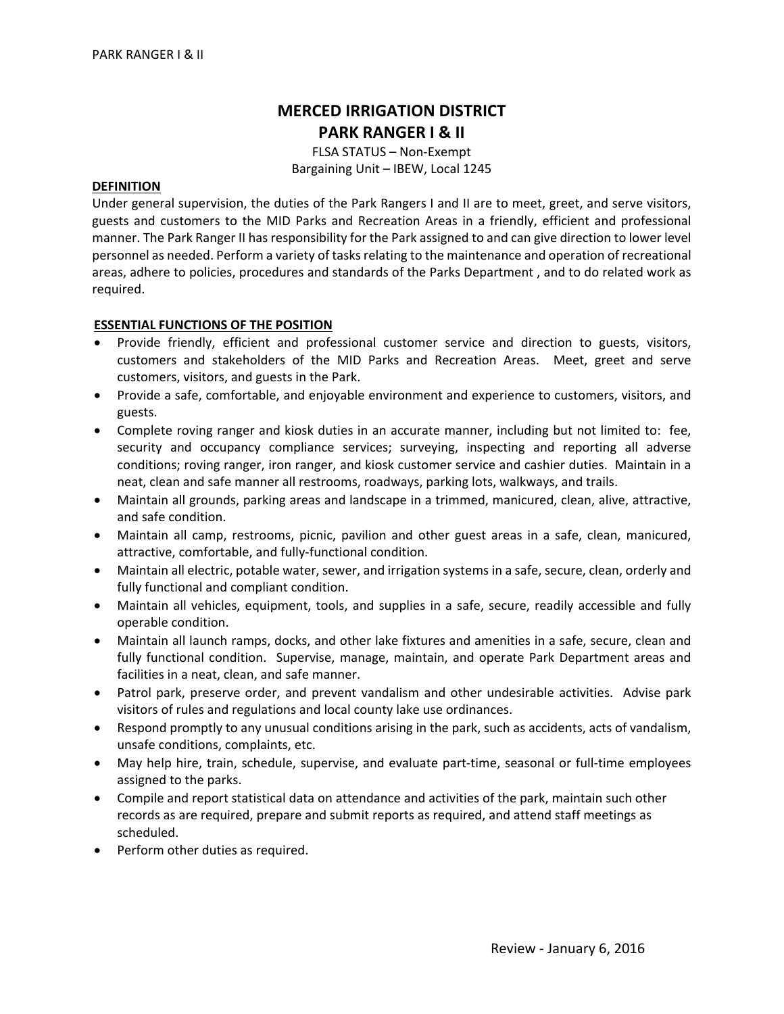# **MERCED IRRIGATION DISTRICT PARK RANGER I & II**

FLSA STATUS – Non‐Exempt Bargaining Unit – IBEW, Local 1245

#### **DEFINITION**

Under general supervision, the duties of the Park Rangers I and II are to meet, greet, and serve visitors, guests and customers to the MID Parks and Recreation Areas in a friendly, efficient and professional manner. The Park Ranger II has responsibility for the Park assigned to and can give direction to lower level personnel as needed. Perform a variety of tasksrelating to the maintenance and operation of recreational areas, adhere to policies, procedures and standards of the Parks Department , and to do related work as required.

#### **ESSENTIAL FUNCTIONS OF THE POSITION**

- Provide friendly, efficient and professional customer service and direction to guests, visitors, customers and stakeholders of the MID Parks and Recreation Areas. Meet, greet and serve customers, visitors, and guests in the Park.
- Provide a safe, comfortable, and enjoyable environment and experience to customers, visitors, and guests.
- Complete roving ranger and kiosk duties in an accurate manner, including but not limited to: fee, security and occupancy compliance services; surveying, inspecting and reporting all adverse conditions; roving ranger, iron ranger, and kiosk customer service and cashier duties. Maintain in a neat, clean and safe manner all restrooms, roadways, parking lots, walkways, and trails.
- Maintain all grounds, parking areas and landscape in a trimmed, manicured, clean, alive, attractive, and safe condition.
- Maintain all camp, restrooms, picnic, pavilion and other guest areas in a safe, clean, manicured, attractive, comfortable, and fully‐functional condition.
- Maintain all electric, potable water, sewer, and irrigation systems in a safe, secure, clean, orderly and fully functional and compliant condition.
- Maintain all vehicles, equipment, tools, and supplies in a safe, secure, readily accessible and fully operable condition.
- Maintain all launch ramps, docks, and other lake fixtures and amenities in a safe, secure, clean and fully functional condition. Supervise, manage, maintain, and operate Park Department areas and facilities in a neat, clean, and safe manner.
- Patrol park, preserve order, and prevent vandalism and other undesirable activities. Advise park visitors of rules and regulations and local county lake use ordinances.
- Respond promptly to any unusual conditions arising in the park, such as accidents, acts of vandalism, unsafe conditions, complaints, etc.
- May help hire, train, schedule, supervise, and evaluate part-time, seasonal or full-time employees assigned to the parks.
- Compile and report statistical data on attendance and activities of the park, maintain such other records as are required, prepare and submit reports as required, and attend staff meetings as scheduled.
- Perform other duties as required.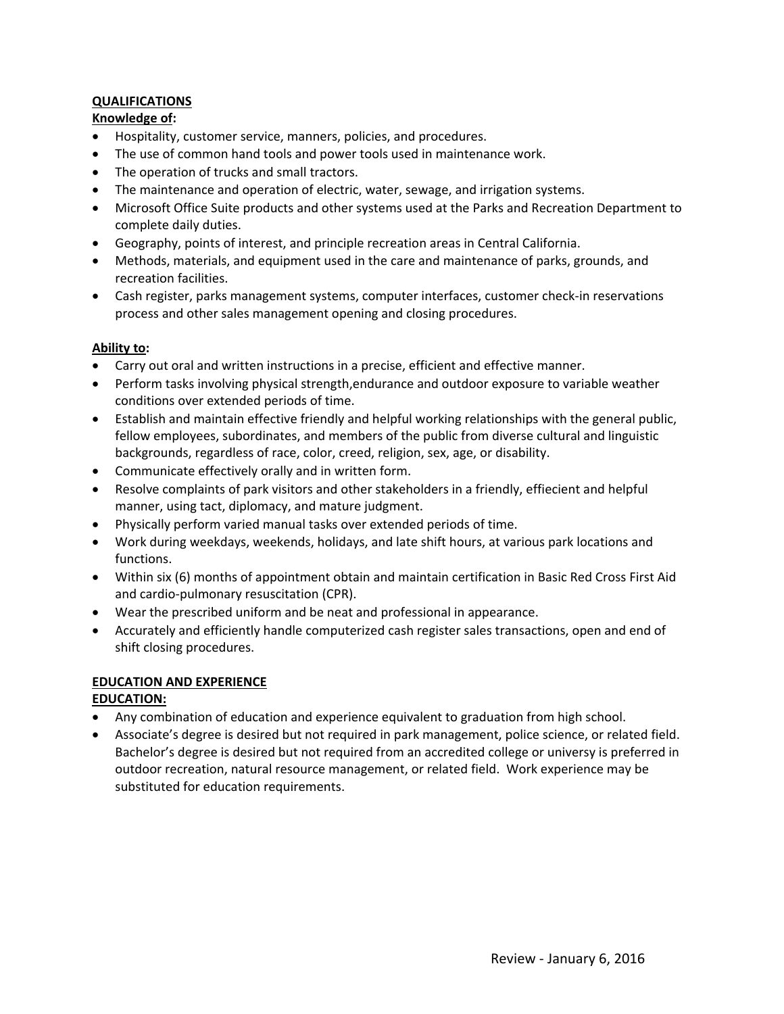# **QUALIFICATIONS**

## **Knowledge of:**

- Hospitality, customer service, manners, policies, and procedures.
- The use of common hand tools and power tools used in maintenance work.
- The operation of trucks and small tractors.
- The maintenance and operation of electric, water, sewage, and irrigation systems.
- Microsoft Office Suite products and other systems used at the Parks and Recreation Department to complete daily duties.
- Geography, points of interest, and principle recreation areas in Central California.
- Methods, materials, and equipment used in the care and maintenance of parks, grounds, and recreation facilities.
- Cash register, parks management systems, computer interfaces, customer check-in reservations process and other sales management opening and closing procedures.

## **Ability to:**

- Carry out oral and written instructions in a precise, efficient and effective manner.
- Perform tasks involving physical strength,endurance and outdoor exposure to variable weather conditions over extended periods of time.
- Establish and maintain effective friendly and helpful working relationships with the general public, fellow employees, subordinates, and members of the public from diverse cultural and linguistic backgrounds, regardless of race, color, creed, religion, sex, age, or disability.
- Communicate effectively orally and in written form.
- Resolve complaints of park visitors and other stakeholders in a friendly, effiecient and helpful manner, using tact, diplomacy, and mature judgment.
- Physically perform varied manual tasks over extended periods of time.
- Work during weekdays, weekends, holidays, and late shift hours, at various park locations and functions.
- Within six (6) months of appointment obtain and maintain certification in Basic Red Cross First Aid and cardio‐pulmonary resuscitation (CPR).
- Wear the prescribed uniform and be neat and professional in appearance.
- Accurately and efficiently handle computerized cash register sales transactions, open and end of shift closing procedures.

# **EDUCATION AND EXPERIENCE**

## **EDUCATION:**

- Any combination of education and experience equivalent to graduation from high school.
- Associate's degree is desired but not required in park management, police science, or related field. Bachelor's degree is desired but not required from an accredited college or universy is preferred in outdoor recreation, natural resource management, or related field. Work experience may be substituted for education requirements.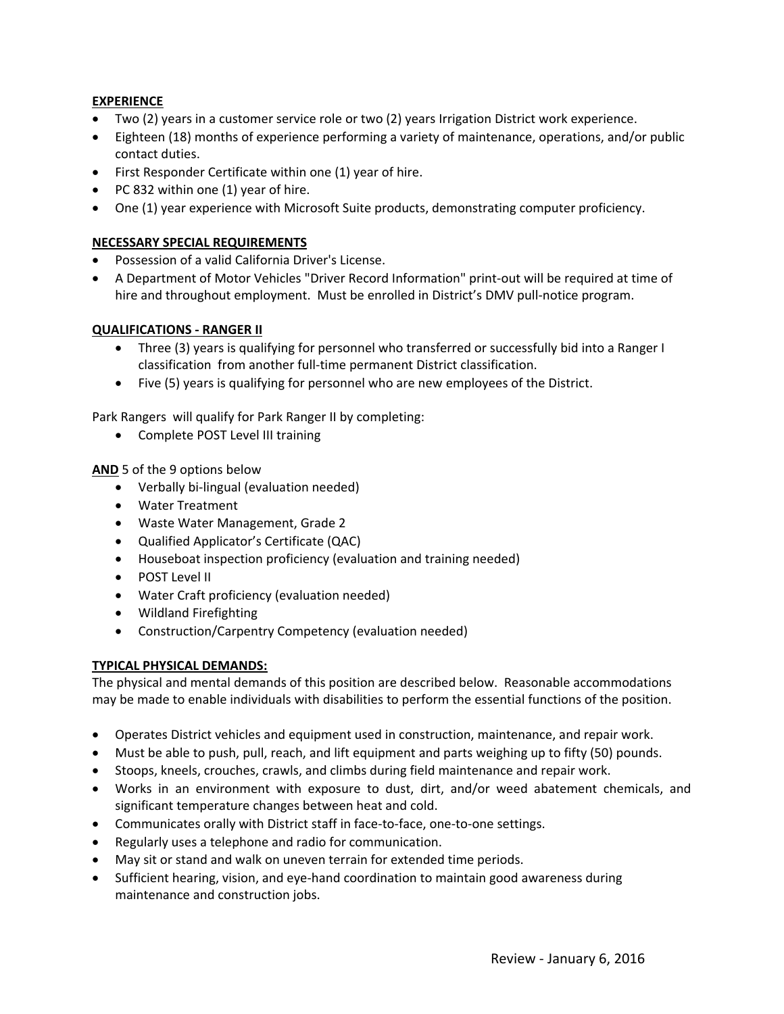## **EXPERIENCE**

- Two (2) years in a customer service role or two (2) years Irrigation District work experience.
- Eighteen (18) months of experience performing a variety of maintenance, operations, and/or public contact duties.
- First Responder Certificate within one (1) year of hire.
- PC 832 within one (1) year of hire.
- One (1) year experience with Microsoft Suite products, demonstrating computer proficiency.

## **NECESSARY SPECIAL REQUIREMENTS**

- Possession of a valid California Driver's License.
- A Department of Motor Vehicles "Driver Record Information" print‐out will be required at time of hire and throughout employment. Must be enrolled in District's DMV pull-notice program.

#### **QUALIFICATIONS ‐ RANGER II**

- Three (3) years is qualifying for personnel who transferred or successfully bid into a Ranger I classification from another full‐time permanent District classification.
- Five (5) years is qualifying for personnel who are new employees of the District.

Park Rangers will qualify for Park Ranger II by completing:

• Complete POST Level III training

**AND** 5 of the 9 options below

- Verbally bi-lingual (evaluation needed)
- Water Treatment
- Waste Water Management, Grade 2
- Qualified Applicator's Certificate (QAC)
- Houseboat inspection proficiency (evaluation and training needed)
- POST Level II
- Water Craft proficiency (evaluation needed)
- Wildland Firefighting
- Construction/Carpentry Competency (evaluation needed)

## **TYPICAL PHYSICAL DEMANDS:**

The physical and mental demands of this position are described below. Reasonable accommodations may be made to enable individuals with disabilities to perform the essential functions of the position.

- Operates District vehicles and equipment used in construction, maintenance, and repair work.
- Must be able to push, pull, reach, and lift equipment and parts weighing up to fifty (50) pounds.
- Stoops, kneels, crouches, crawls, and climbs during field maintenance and repair work.
- Works in an environment with exposure to dust, dirt, and/or weed abatement chemicals, and significant temperature changes between heat and cold.
- Communicates orally with District staff in face‐to‐face, one‐to‐one settings.
- Regularly uses a telephone and radio for communication.
- May sit or stand and walk on uneven terrain for extended time periods.
- Sufficient hearing, vision, and eye‐hand coordination to maintain good awareness during maintenance and construction jobs.